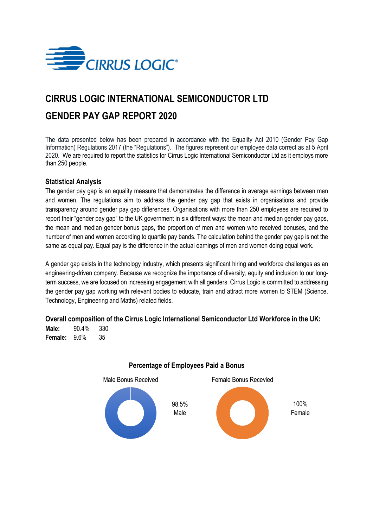

# **CIRRUS LOGIC INTERNATIONAL SEMICONDUCTOR LTD GENDER PAY GAP REPORT 2020**

The data presented below has been prepared in accordance with the Equality Act 2010 (Gender Pay Gap Information) Regulations 2017 (the "Regulations"). The figures represent our employee data correct as at 5 April 2020. We are required to report the statistics for Cirrus Logic International Semiconductor Ltd as it employs more than 250 people.

## **Statistical Analysis**

The gender pay gap is an equality measure that demonstrates the difference in average earnings between men and women. The regulations aim to address the gender pay gap that exists in organisations and provide transparency around gender pay gap differences. Organisations with more than 250 employees are required to report their "gender pay gap" to the UK government in six different ways: the mean and median gender pay gaps, the mean and median gender bonus gaps, the proportion of men and women who received bonuses, and the number of men and women according to quartile pay bands. The calculation behind the gender pay gap is not the same as equal pay. Equal pay is the difference in the actual earnings of men and women doing equal work.

A gender gap exists in the technology industry, which presents significant hiring and workforce challenges as an engineering-driven company. Because we recognize the importance of diversity, equity and inclusion to our longterm success, we are focused on increasing engagement with all genders. Cirrus Logic is committed to addressing the gender pay gap working with relevant bodies to educate, train and attract more women to STEM (Science, Technology, Engineering and Maths) related fields.

### **Overall composition of the Cirrus Logic International Semiconductor Ltd Workforce in the UK:**

**Male:** 90.4% 330 **Female:** 9.6% 35



## **Percentage of Employees Paid a Bonus**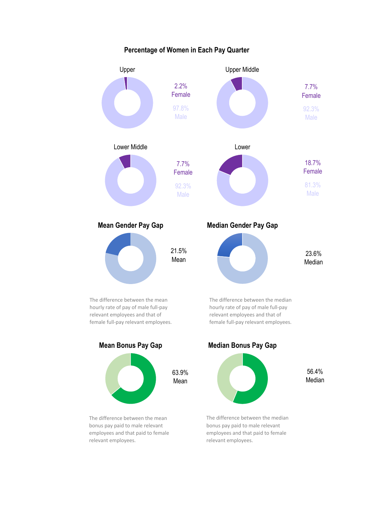

**Percentage of Women in Each Pay Quarter**

bonus pay paid to male relevant employees and that paid to female relevant employees.

bonus pay paid to male relevant employees and that paid to female relevant employees.